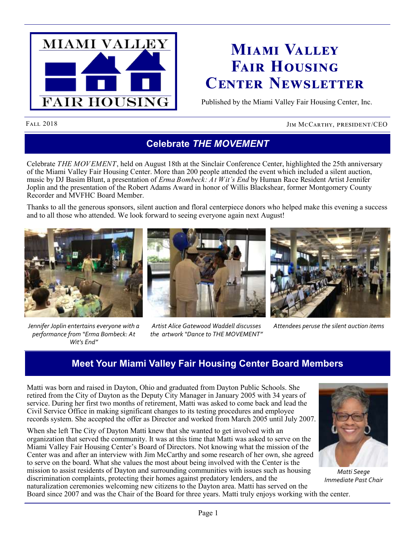

## **Miami Valley Fair Housing Center Newsletter**

Published by the Miami Valley Fair Housing Center, Inc.

### FALL 2018 JIM MCCARTHY, PRESIDENT/CEO

## **Celebrate** *THE MOVEMENT*

Celebrate *THE MOVEMENT*, held on August 18th at the Sinclair Conference Center, highlighted the 25th anniversary of the Miami Valley Fair Housing Center. More than 200 people attended the event which included a silent auction, music by DJ Basim Blunt, a presentation of *Erma Bombeck: At Wit's End* by Human Race Resident Artist Jennifer Joplin and the presentation of the Robert Adams Award in honor of Willis Blackshear, former Montgomery County Recorder and MVFHC Board Member.

Thanks to all the generous sponsors, silent auction and floral centerpiece donors who helped make this evening a success and to all those who attended. We look forward to seeing everyone again next August!



*Jennifer Joplin entertains everyone with a performance from "Erma Bombeck: At Wit's End"*



*Artist Alice Gatewood Waddell discusses the artwork "Dance to THE MOVEMENT"*



*Attendees peruse the silent auction items*

## **Meet Your Miami Valley Fair Housing Center Board Members**

Matti was born and raised in Dayton, Ohio and graduated from Dayton Public Schools. She retired from the City of Dayton as the Deputy City Manager in January 2005 with 34 years of service. During her first two months of retirement, Matti was asked to come back and lead the Civil Service Office in making significant changes to its testing procedures and employee records system. She accepted the offer as Director and worked from March 2005 until July 2007.

When she left The City of Dayton Matti knew that she wanted to get involved with an organization that served the community. It was at this time that Matti was asked to serve on the Miami Valley Fair Housing Center's Board of Directors. Not knowing what the mission of the Center was and after an interview with Jim McCarthy and some research of her own, she agreed to serve on the board. What she values the most about being involved with the Center is the mission to assist residents of Dayton and surrounding communities with issues such as housing discrimination complaints, protecting their homes against predatory lenders, and the naturalization ceremonies welcoming new citizens to the Dayton area. Matti has served on the



*Matti Seege Immediate Past Chair*

Board since 2007 and was the Chair of the Board for three years. Matti truly enjoys working with the center.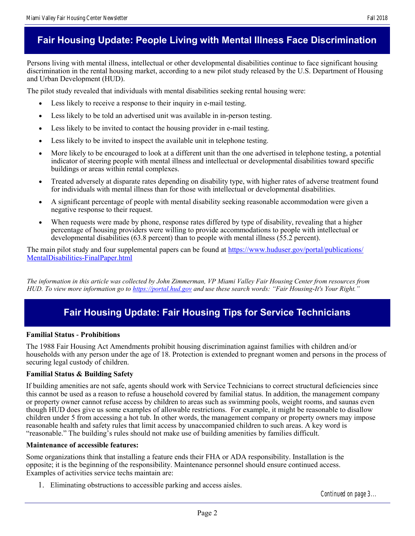## **Fair Housing Update: People Living with Mental Illness Face Discrimination**

Persons living with mental illness, intellectual or other developmental disabilities continue to face significant housing discrimination in the rental housing market, according to a new pilot study released by the U.S. Department of Housing and Urban Development (HUD).

The pilot study revealed that individuals with mental disabilities seeking rental housing were:

- Less likely to receive a response to their inquiry in e-mail testing.
- Less likely to be told an advertised unit was available in in-person testing.
- Less likely to be invited to contact the housing provider in e-mail testing.
- Less likely to be invited to inspect the available unit in telephone testing.
- More likely to be encouraged to look at a different unit than the one advertised in telephone testing, a potential indicator of steering people with mental illness and intellectual or developmental disabilities toward specific buildings or areas within rental complexes.
- Treated adversely at disparate rates depending on disability type, with higher rates of adverse treatment found for individuals with mental illness than for those with intellectual or developmental disabilities.
- A significant percentage of people with mental disability seeking reasonable accommodation were given a negative response to their request.
- When requests were made by phone, response rates differed by type of disability, revealing that a higher percentage of housing providers were willing to provide accommodations to people with intellectual or developmental disabilities (63.8 percent) than to people with mental illness (55.2 percent).

The main pilot study and four supplemental papers can be found at [https://www.huduser.gov/portal/publications/](https://www.huduser.gov/portal/publications/MentalDisabilities-FinalPaper.html) [MentalDisabilities-FinalPaper.html](https://www.huduser.gov/portal/publications/MentalDisabilities-FinalPaper.html)

*The information in this article was collected by John Zimmerman, VP Miami Valley Fair Housing Center from resources from HUD. To view more information go to <https://portal.hud.gov> and use these search words: "Fair Housing-It's Your Right."*

## **Fair Housing Update: Fair Housing Tips for Service Technicians**

#### **Familial Status - Prohibitions**

The 1988 Fair Housing Act Amendments prohibit housing discrimination against families with children and/or households with any person under the age of 18. Protection is extended to pregnant women and persons in the process of securing legal custody of children.

#### **Familial Status & Building Safety**

If building amenities are not safe, agents should work with Service Technicians to correct structural deficiencies since this cannot be used as a reason to refuse a household covered by familial status. In addition, the management company or property owner cannot refuse access by children to areas such as swimming pools, weight rooms, and saunas even though HUD does give us some examples of allowable restrictions. For example, it might be reasonable to disallow children under 5 from accessing a hot tub. In other words, the management company or property owners may impose reasonable health and safety rules that limit access by unaccompanied children to such areas. A key word is "reasonable." The building's rules should not make use of building amenities by families difficult.

#### **Maintenance of accessible features:**

Some organizations think that installing a feature ends their FHA or ADA responsibility. Installation is the opposite; it is the beginning of the responsibility. Maintenance personnel should ensure continued access. Examples of activities service techs maintain are:

1. Eliminating obstructions to accessible parking and access aisles.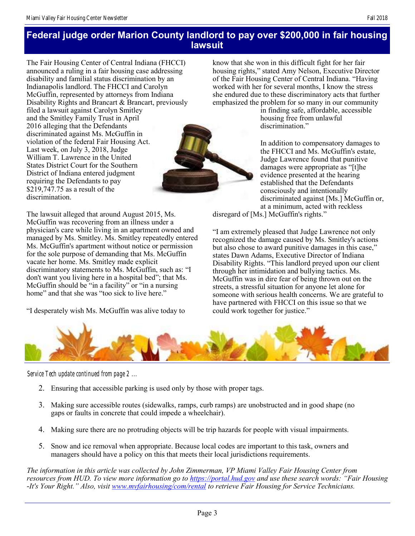## **Federal judge order Marion County landlord to pay over \$200,000 in fair housing lawsuit**

The Fair Housing Center of Central Indiana (FHCCI) announced a ruling in a fair housing case addressing disability and familial status discrimination by an Indianapolis landlord. The FHCCI and Carolyn McGuffin, represented by attorneys from Indiana Disability Rights and Brancart & Brancart, previously filed a lawsuit against Carolyn Smitley and the Smitley Family Trust in April 2016 alleging that the Defendants discriminated against Ms. McGuffin in violation of the federal Fair Housing Act. Last week, on July 3, 2018, Judge William T. Lawrence in the United States District Court for the Southern District of Indiana entered judgment requiring the Defendants to pay \$219,747.75 as a result of the discrimination.

The lawsuit alleged that around August 2015, Ms. McGuffin was recovering from an illness under a physician's care while living in an apartment owned and managed by Ms. Smitley. Ms. Smitley repeatedly entered Ms. McGuffin's apartment without notice or permission for the sole purpose of demanding that Ms. McGuffin vacate her home. Ms. Smitley made explicit discriminatory statements to Ms. McGuffin, such as: "I don't want you living here in a hospital bed"; that Ms. McGuffin should be "in a facility" or "in a nursing home" and that she was "too sick to live here."

"I desperately wish Ms. McGuffin was alive today to

know that she won in this difficult fight for her fair housing rights," stated Amy Nelson, Executive Director of the Fair Housing Center of Central Indiana. "Having worked with her for several months, I know the stress she endured due to these discriminatory acts that further emphasized the problem for so many in our community

in finding safe, affordable, accessible housing free from unlawful discrimination."

In addition to compensatory damages to the FHCCI and Ms. McGuffin's estate, Judge Lawrence found that punitive damages were appropriate as "[t]he evidence presented at the hearing established that the Defendants consciously and intentionally discriminated against [Ms.] McGuffin or, at a minimum, acted with reckless

disregard of [Ms.] McGuffin's rights."

"I am extremely pleased that Judge Lawrence not only recognized the damage caused by Ms. Smitley's actions but also chose to award punitive damages in this case," states Dawn Adams, Executive Director of Indiana Disability Rights. "This landlord preyed upon our client through her intimidation and bullying tactics. Ms. McGuffin was in dire fear of being thrown out on the streets, a stressful situation for anyone let alone for someone with serious health concerns. We are grateful to have partnered with FHCCI on this issue so that we could work together for justice."



*Service Tech update continued from page 2 ...*

- 2. Ensuring that accessible parking is used only by those with proper tags.
- 3. Making sure accessible routes (sidewalks, ramps, curb ramps) are unobstructed and in good shape (no gaps or faults in concrete that could impede a wheelchair).
- 4. Making sure there are no protruding objects will be trip hazards for people with visual impairments.
- 5. Snow and ice removal when appropriate. Because local codes are important to this task, owners and managers should have a policy on this that meets their local jurisdictions requirements.

*The information in this article was collected by John Zimmerman, VP Miami Valley Fair Housing Center from resources from HUD. To view more information go to<https://portal.hud.gov> and use these search words: "Fair Housing -It's Your Right." Also, visit [www.mvfairhousing/com/rental](http://www.mvfairhousing/com/rental) to retrieve Fair Housing for Service Technicians.*